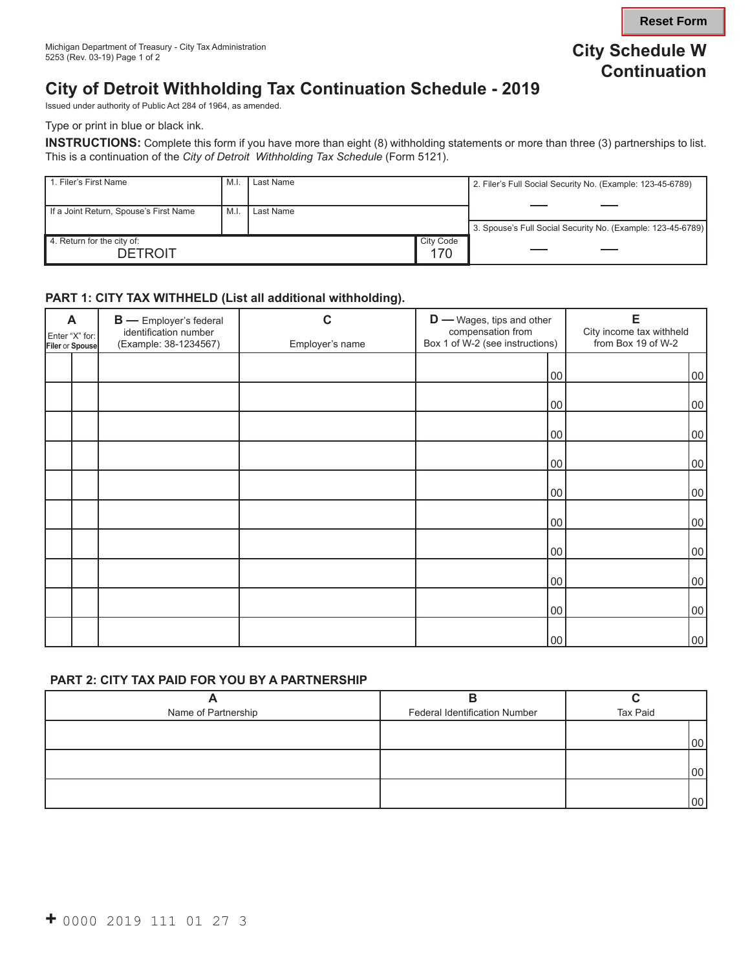**Reset Form**

# **City of Detroit Withholding Tax Continuation Schedule - 2019**

Issued under authority of Public Act 284 of 1964, as amended.

Type or print in blue or black ink.

**INSTRUCTIONS:** Complete this form if you have more than eight (8) withholding statements or more than three (3) partnerships to list. This is a continuation of the *City of Detroit Withholding Tax Schedule* (Form 5121).

| 1. Filer's First Name                        | M.I | Last Name |                         | 2. Filer's Full Social Security No. (Example: 123-45-6789)  |
|----------------------------------------------|-----|-----------|-------------------------|-------------------------------------------------------------|
| If a Joint Return, Spouse's First Name       | M.l | Last Name |                         |                                                             |
|                                              |     |           |                         | 3. Spouse's Full Social Security No. (Example: 123-45-6789) |
| 4. Return for the city of:<br><b>DETROIT</b> |     |           | <b>City Code</b><br>170 |                                                             |

#### **PART 1: CITY TAX WITHHELD (List all additional withholding).**

| A<br>Enter "X" for:<br>Filer or Spouse |  | <b>B</b> - Employer's federal<br>identification number<br>(Example: 38-1234567) | С<br>Employer's name | <b>D</b> — Wages, tips and other<br>compensation from<br>Box 1 of W-2 (see instructions) | E<br>City income tax withheld<br>from Box 19 of W-2 |  |
|----------------------------------------|--|---------------------------------------------------------------------------------|----------------------|------------------------------------------------------------------------------------------|-----------------------------------------------------|--|
|                                        |  |                                                                                 |                      | 00                                                                                       | 00                                                  |  |
|                                        |  |                                                                                 |                      | 00                                                                                       | 00                                                  |  |
|                                        |  |                                                                                 |                      | 00                                                                                       | 00                                                  |  |
|                                        |  |                                                                                 |                      | 00                                                                                       | 00                                                  |  |
|                                        |  |                                                                                 |                      | 00                                                                                       | 00                                                  |  |
|                                        |  |                                                                                 |                      | 00                                                                                       | 00                                                  |  |
|                                        |  |                                                                                 |                      | 00                                                                                       | 00                                                  |  |
|                                        |  |                                                                                 |                      | 00                                                                                       | 00                                                  |  |
|                                        |  |                                                                                 |                      | 00                                                                                       | 00                                                  |  |
|                                        |  |                                                                                 |                      | 00                                                                                       | 00                                                  |  |

#### **PART 2: CITY TAX PAID FOR YOU BY A PARTNERSHIP**

| Name of Partnership | <b>Federal Identification Number</b> | Tax Paid        |
|---------------------|--------------------------------------|-----------------|
|                     |                                      |                 |
|                     |                                      | 00 <sub>1</sub> |
|                     |                                      |                 |
|                     |                                      | 00 <sub>1</sub> |
|                     |                                      |                 |
|                     |                                      | 00 <sup>1</sup> |